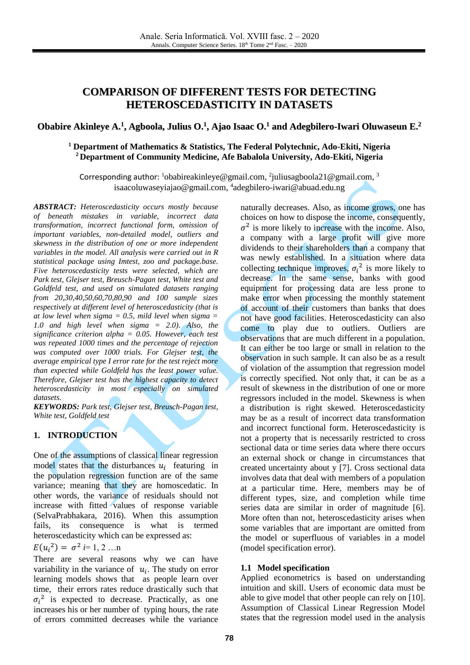# **COMPARISON OF DIFFERENT TESTS FOR DETECTING HETEROSCEDASTICITY IN DATASETS**

## Obabire Akinleye A.<sup>1</sup>, Agboola, Julius O.<sup>1</sup>, Ajao Isaac O.<sup>1</sup> and Adegbilero-Iwari Oluwaseun E.<sup>2</sup>

## **<sup>1</sup> Department of Mathematics & Statistics, The Federal Polytechnic, Ado-Ekiti, Nigeria <sup>2</sup> Department of Community Medicine, Afe Babalola University, Ado-Ekiti, Nigeria**

Corresponding author:  $\frac{1}{2}$ [obabireakinleye@gmail.com,](mailto:1obabireakinleye@gmail.com)  $\frac{2}{3}$ uliusagboola21@gmail.com,  $\frac{3}{3}$ [isaacoluwaseyiajao@gmail.com,](mailto:isaacoluwaseyiajao@gmail.com) 4 [adegbilero-iwari@abuad.edu.ng](mailto:4akintola@gmail.com)

*ABSTRACT: Heteroscedasticity occurs mostly because of beneath mistakes in variable, incorrect data transformation, incorrect functional form, omission of important variables, non-detailed model, outliers and skewness in the distribution of one or more independent variables in the model. All analysis were carried out in R statistical package using Imtest, zoo and package.base. Five heteroscedasticity tests were selected, which are Park test, Glejser test, Breusch-Pagan test, White test and Goldfeld test, and used on simulated datasets ranging from 20,30,40,50,60,70,80,90 and 100 sample sizes respectively at different level of heteroscedasticity (that is at low level when sigma = 0.5, mild level when sigma = 1.0 and high level when sigma = 2.0). Also, the significance criterion alpha = 0.05. However, each test was repeated 1000 times and the percentage of rejection was computed over 1000 trials. For Glejser test, the average empirical type I error rate for the test reject more than expected while Goldfeld has the least power value. Therefore, Glejser test has the highest capacity to detect heteroscedasticity in most especially on simulated datasets.*

*KEYWORDS: Park test, Glejser test, Breusch-Pagan test, White test, Goldfeld test*

## **1. INTRODUCTION**

One of the assumptions of classical linear regression model states that the disturbances  $u_i$  featuring in the population regression function are of the same variance; meaning that they are homoscedatic. In other words, the variance of residuals should not increase with fitted values of response variable (SelvaPrabhakara, 2016). When this assumption fails, its consequence is what is termed heteroscedasticity which can be expressed as:

$$
E(u_i^2) = \sigma^2 \, i = 1, 2 \, ... \, n
$$

There are several reasons why we can have variability in the variance of  $u_i$ . The study on error learning models shows that as people learn over time, their errors rates reduce drastically such that  $\sigma_i^2$  is expected to decrease. Practically, as one increases his or her number of typing hours, the rate of errors committed decreases while the variance

naturally decreases. Also, as income grows, one has choices on how to dispose the income, consequently,  $\sigma^2$  is more likely to increase with the income. Also, a company with a large profit will give more dividends to their shareholders than a company that was newly established. In a situation where data collecting technique improves,  $\sigma_i^2$  is more likely to decrease. In the same sense, banks with good equipment for processing data are less prone to make error when processing the monthly statement of account of their customers than banks that does not have good facilities. Heteroscedasticity can also come to play due to outliers. Outliers are observations that are much different in a population. It can either be too large or small in relation to the observation in such sample. It can also be as a result of violation of the assumption that regression model is correctly specified. Not only that, it can be as a result of skewness in the distribution of one or more regressors included in the model. Skewness is when a distribution is right skewed. Heteroscedasticity may be as a result of incorrect data transformation and incorrect functional form. Heteroscedasticity is not a property that is necessarily restricted to cross sectional data or time series data where there occurs an external shock or change in circumstances that created uncertainty about y [\[7\].](#page-7-0) Cross sectional data involves data that deal with members of a population at a particular time. Here, members may be of different types, size, and completion while time series data are similar in order of magnitude [\[6\].](#page-7-1) More often than not, heteroscedasticity arises when some variables that are important are omitted from the model or superfluous of variables in a model (model specification error).

#### **1.1 Model specification**

Applied econometrics is based on understanding intuition and skill. Users of economic data must be able to give model that other people can rely on [\[10\].](#page-7-2) Assumption of Classical Linear Regression Model states that the regression model used in the analysis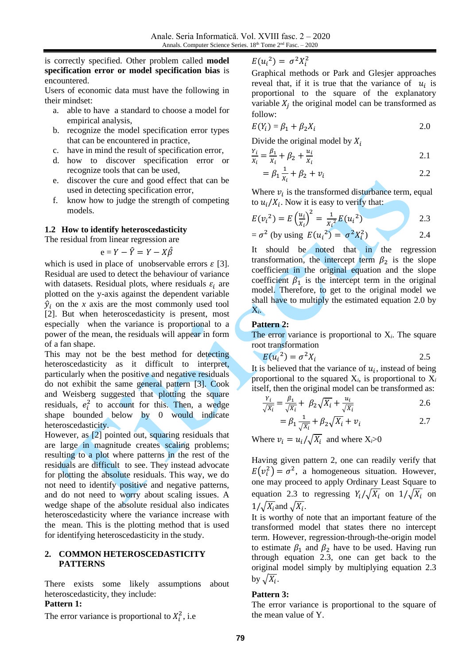## is correctly specified. Other problem called **model specification error or model specification bias** is encountered.

Users of economic data must have the following in their mindset:

- a. able to have a standard to choose a model for empirical analysis,
- b. recognize the model specification error types that can be encountered in practice,
- c. have in mind the result of specification error,
- d. how to discover specification error or recognize tools that can be used,
- e. discover the cure and good effect that can be used in detecting specification error,
- f. know how to judge the strength of competing models.

## **1.2 How to identify heteroscedasticity**

The residual from linear regression are

$$
e = Y - \hat{Y} = Y - X\hat{\beta}
$$

which is used in place of unobservable errors  $\varepsilon$  [\[3\].](#page-7-3) Residual are used to detect the behaviour of variance with datasets. Residual plots, where residuals  $\varepsilon_i$  are plotted on the y-axis against the dependent variable  $\hat{y}_i$  on the *x* axis are the most commonly used tool [\[2\].](#page-7-4) But when heteroscedasticity is present, most especially when the variance is proportional to a power of the mean, the residuals will appear in form of a fan shape.

This may not be the best method for detecting heteroscedasticity as it difficult to interpret, particularly when the positive and negative residuals do not exhibit the same general pattern [\[3\].](#page-7-3) Cook and Weisberg suggested that plotting the square residuals,  $e_i^2$  to account for this. Then, a wedge shape bounded below by 0 would indicate heteroscedasticity.

However, as [\[2\]](#page-7-4) pointed out, squaring residuals that are large in magnitude creates scaling problems; resulting to a plot where patterns in the rest of the residuals are difficult to see. They instead advocate for plotting the absolute residuals. This way, we do not need to identify positive and negative patterns, and do not need to worry about scaling issues. A wedge shape of the absolute residual also indicates heteroscedasticity where the variance increase with the mean. This is the plotting method that is used for identifying heteroscedasticity in the study.

#### **2. COMMON HETEROSCEDASTICITY PATTERNS**

There exists some likely assumptions about heteroscedasticity, they include:

## **Pattern 1:**

The error variance is proportional to  $X_i^2$ , i.e

$$
E({u_i}^2) = \sigma^2 X_i^2
$$

Graphical methods or Park and Glesjer approaches reveal that, if it is true that the variance of  $u_i$  is proportional to the square of the explanatory variable  $X_j$  the original model can be transformed as follow:

$$
E(Y_i) = \beta_1 + \beta_2 X_i \tag{2.0}
$$

Divide the original model by  $X_i$ 

$$
\frac{Y_i}{X_i} = \frac{\beta_1}{X_i} + \beta_2 + \frac{u_i}{X_i}
$$
 (2.1)

$$
= \beta_1 \frac{1}{x_i} + \beta_2 + v_i \tag{2.2}
$$

Where  $v_i$  is the transformed disturbance term, equal to  $u_i/X_i$ . Now it is easy to verify that:

$$
E(v_i^2) = E\left(\frac{u_i}{x_i}\right)^2 = \frac{1}{x_i^2}E(u_i^2)
$$
 2.3

$$
= \sigma^2 \text{ (by using } E(u_i^2) = \sigma^2 X_i^2)
$$

It should be noted that in the regression transformation, the intercept term  $\beta_2$  is the slope coefficient in the original equation and the slope coefficient  $\beta_1$  is the intercept term in the original model. Therefore, to get to the original model we shall have to multiply the estimated equation 2.0 by X*i*.

## **Pattern 2:**

The error variance is proportional to  $X_i$ . The square root transformation

$$
E(u_i^2) = \sigma^2 X_i \tag{2.5}
$$

It is believed that the variance of  $u_i$ , instead of being proportional to the squared  $X_i$ , is proportional to  $X_i$ itself, then the original model can be transformed as:

$$
\frac{Y_i}{\sqrt{X_i}} = \frac{\beta_1}{\sqrt{X_i}} + \beta_2 \sqrt{X_i} + \frac{u_i}{\sqrt{X_i}}
$$

$$
= \beta_1 \frac{1}{\sqrt{X_i}} + \beta_2 \sqrt{X_i} + v_i
$$

Where  $v_i = u_i / \sqrt{X_i}$  and where  $X_i > 0$ 

Having given pattern 2, one can readily verify that  $E(v_i^2) = \sigma^2$ , a homogeneous situation. However, one may proceed to apply Ordinary Least Square to equation 2.3 to regressing  $Y_i / \sqrt{X_i}$  on  $1/\sqrt{X_i}$  on  $1/\sqrt{X_i}$  and  $\sqrt{X_i}$ .

It is worthy of note that an important feature of the transformed model that states there no intercept term. However, regression-through-the-origin model to estimate  $\beta_1$  and  $\beta_2$  have to be used. Having run through equation 2.3, one can get back to the original model simply by multiplying equation 2.3 by  $\sqrt{X_i}$ .

## **Pattern 3:**

The error variance is proportional to the square of the mean value of Y.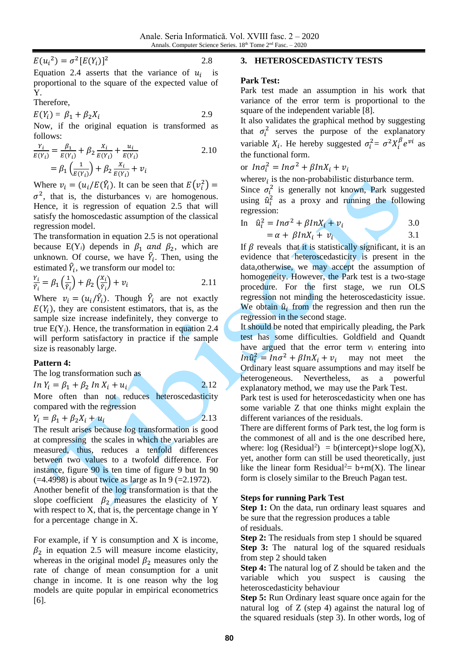$E(u_i^2) = \sigma^2[E(Y_i)]$ 

<sup>2</sup> 2.8

Equation 2.4 asserts that the variance of  $u_i$  is proportional to the square of the expected value of Y.

Therefore,

 $E(Y_i) = \beta_1 + \beta_2 X_i$  2.9

Now, if the original equation is transformed as follows:

$$
\frac{Y_i}{E(Y_i)} = \frac{\beta_1}{E(Y_i)} + \beta_2 \frac{X_i}{E(Y_i)} + \frac{u_i}{E(Y_i)}
$$
  
=  $\beta_1 \left(\frac{1}{E(Y_i)}\right) + \beta_2 \frac{X_i}{E(Y_i)} + v_i$  (2.10)

Where  $v_i = (u_i / E(\hat{Y}_i))$ . It can be seen that  $E(v_i^2) =$  $\sigma^2$ , that is, the disturbances  $v_i$  are homogenous. Hence, it is regression of equation 2.5 that will satisfy the homoscedastic assumption of the classical regression model.

The transformation in equation 2.5 is not operational because  $E(Y_i)$  depends in  $\beta_1$  and  $\beta_2$ , which are unknown. Of course, we have  $\hat{Y}_i$ . Then, using the estimated  $\hat{Y}_i$ , we transform our model to:

$$
\frac{Y_i}{\hat{Y}_i} = \beta_1 \left(\frac{1}{\hat{Y}_i}\right) + \beta_2 \left(\frac{X_i}{\hat{Y}_i}\right) + \nu_i
$$
 (2.11)

Where  $v_i = (u_i/\hat{Y}_i)$ . Though  $\hat{Y}_i$  are not exactly  $E(Y_i)$ , they are consistent estimators, that is, as the sample size increase indefinitely, they converge to true  $E(Y_i)$ . Hence, the transformation in equation 2.4 will perform satisfactory in practice if the sample size is reasonably large.

# **Pattern 4:**

The log transformation such as

 $\ln Y_i = \beta_1 + \beta_2 \ln X_i + u_i$  2.12

More often than not reduces heteroscedasticity compared with the regression

$$
Y_i = \beta_1 + \beta_2 X_i + u_i \tag{2.13}
$$

The result arises because log transformation is good at compressing the scales in which the variables are measured, thus, reduces a tenfold differences between two values to a twofold difference. For instance, figure 90 is ten time of figure 9 but In 90  $(-4.4998)$  is about twice as large as In 9 (=2.1972).

Another benefit of the log transformation is that the slope coefficient  $\beta_2$  measures the elasticity of Y with respect to X, that is, the percentage change in Y for a percentage change in X.

For example, if Y is consumption and X is income,  $\beta_2$  in equation 2.5 will measure income elasticity, whereas in the original model  $\beta_2$  measures only the rate of change of mean consumption for a unit change in income. It is one reason why the log models are quite popular in empirical econometrics [\[6\].](#page-7-1)

## **3. HETEROSCEDASTICTY TESTS**

## **Park Test:**

Park test made an assumption in his work that variance of the error term is proportional to the square of the independent variable [\[8\].](#page-7-5)

It also validates the graphical method by suggesting that  $\sigma_i^2$  serves the purpose of the explanatory variable  $X_i$ . He hereby suggested  $\sigma_i^2 = \sigma^2 X_i^{\beta} e^{\nu i}$  as the functional form.

or  $ln \sigma_i^2 = ln \sigma^2 + \beta ln X_i + v_i$ 

where  $v_i$  is the non-probabilistic disturbance term.

Since  $\sigma_i^2$  is generally not known, Park suggested using  $\hat{u}_i^2$  as a proxy and running the following regression:

In 
$$
\hat{u}_i^2 = In\sigma^2 + \beta InX_i + v_i
$$
  
=  $\alpha + \beta InX_i + v_i$  3.0  
3.1

If  $\beta$  reveals that it is statistically significant, it is an evidence that heteroscedasticity is present in the data,otherwise, we may accept the assumption of homogeneity. However, the Park test is a two-stage procedure. For the first stage, we run OLS regression not minding the heteroscedasticity issue. We obtain  $\hat{u}_i$  from the regression and then run the regression in the second stage.

It should be noted that empirically pleading, the Park test has some difficulties. Goldfield and Quandt have argued that the error term  $v_i$  entering into  $In\hat{u}_i^2 = In\sigma^2 + \beta InX_i + v_i$  may not meet the Ordinary least square assumptions and may itself be heterogeneous. Nevertheless, as a powerful explanatory method, we may use the Park Test.

Park test is used for heteroscedasticity when one has some variable Z that one thinks might explain the different variances of the residuals.

There are different forms of Park test, the log form is the commonest of all and is the one described here, where:  $log (Residual^2) = b(intexcept) + slope log(X)$ , yet, another form can still be used theoretically, just like the linear form Residual<sup>2</sup>=  $b+m(X)$ . The linear form is closely similar to the Breuch Pagan test.

# **Steps for running Park Test**

**Step 1:** On the data, run ordinary least squares and be sure that the regression produces a table of residuals.

**Step 2:** The residuals from step 1 should be squared **Step 3:** The natural log of the squared residuals from step 2 should taken

**Step 4:** The natural log of Z should be taken and the variable which you suspect is causing the heteroscedasticity behaviour

**Step 5:** Run Ordinary least square once again for the natural log of Z (step 4) against the natural log of the squared residuals (step 3). In other words, log of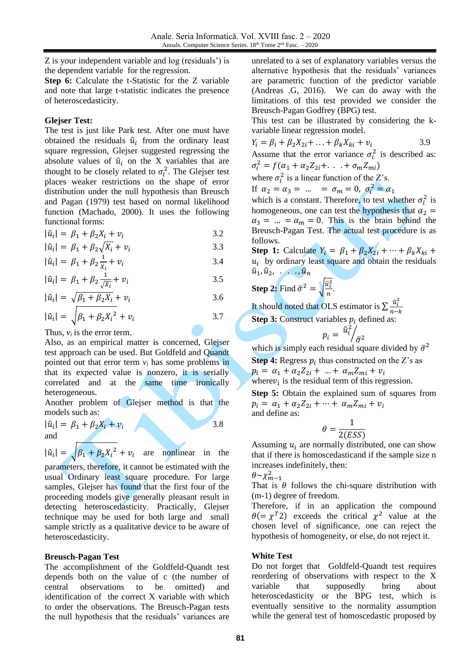Z is your independent variable and log (residuals') is the dependent variable for the regression.

**Step 6:** Calculate the t-Statistic for the Z variable and note that large t-statistic indicates the presence of heteroscedasticity.

#### **Glejser Test:**

The test is just like Park test. After one must have obtained the residuals  $\hat{u}_i$  from the ordinary least square regression, Glejser suggested regressing the absolute values of  $\hat{u}_i$  on the X variables that are thought to be closely related to  $\sigma_i^2$ . The Glejser test places weaker restrictions on the shape of error distribution under the null hypothesis than Breusch and Pagan (1979) test based on normal likelihood function (Machado, 2000). It uses the following functional forms:

$$
|\hat{u}_i| = \beta_1 + \beta_2 X_i + v_i \tag{3.2}
$$

$$
|\hat{u}_i| = \beta_1 + \beta_2 \sqrt{X_i + v_i}
$$
 3.3

$$
|\hat{u}_i| = \beta_1 + \beta_2 \frac{1}{\chi_i} + v_i
$$
 3.4

$$
|\hat{u}_i| = \beta_1 + \beta_2 \frac{1}{\sqrt{x_i}} + v_i
$$

$$
|\hat{u}_i| = \sqrt{\beta_1 + \beta_2 X_i} + v_i
$$
 3.6

$$
|\hat{u}_i| = \sqrt{\beta_1 + \beta_2 X_i^2 + v_i}
$$
 3.7

Thus,  $v_i$  is the error term.

Also, as an empirical matter is concerned, Glejser test approach can be used. But Goldfeld and Quandt pointed out that error term *v<sup>i</sup>* has some problems in that its expected value is nonzero, it is serially correlated and at the same time ironically heterogeneous.

Another problem of Glejser method is that the models such as:

$$
|\hat{u}_i| = \beta_1 + \beta_2 X_i + v_i
$$
3.8  
and

$$
|\hat{u}_i| = \sqrt{\beta_1 + \beta_2 X_i^2 + v_i}
$$
 are nonlinear in the

parameters, therefore, it cannot be estimated with the usual Ordinary least square procedure. For large samples, Glejser has found that the first four of the proceeding models give generally pleasant result in detecting heteroscedasticity. Practically, Glejser technique may be used for both large and small sample strictly as a qualitative device to be aware of heteroscedasticity.

## **Breusch-Pagan Test**

The accomplishment of the Goldfeld-Quandt test depends both on the value of c (the number of central observations to be omitted) and identification of the correct X variable with which to order the observations. The Breusch-Pagan tests the null hypothesis that the residuals' variances are unrelated to a set of explanatory variables versus the alternative hypothesis that the residuals' variances are parametric function of the predictor variable (Andreas .G, 2016). We can do away with the limitations of this test provided we consider the Breusch-Pagan Godfrey (BPG) test.

This test can be illustrated by considering the kvariable linear regression model.

$$
Y_i = \beta_i + \beta_2 X_{2i} + \ldots + \beta_k X_{ki} + \nu_i \tag{3.9}
$$

Assume that the error variance  $\sigma_i^2$  is described as:  $\sigma_i^2 = f(\alpha_1 + \alpha_2 Z_{2i} + \ldots + \sigma_m Z_{mi})$ 

where 
$$
\sigma_i^2
$$
 is a linear function of the Z's.

If  $\alpha_2 = \alpha_3 = ... = \sigma_m = 0$ ,  $\sigma_i^2 = \alpha_1$ 

which is a constant. Therefore, to test whether  $\sigma_i^2$  is homogeneous, one can test the hypothesis that  $\alpha_2$  =  $\alpha_3 = ... = \alpha_m = 0$ . This is the brain behind the Breusch-Pagan Test. The actual test procedure is as follows.

**Step 1:** Calculate  $Y_i = \beta_1 + \beta_2 X_{2i} + \cdots + \beta_k X_{ki} + \cdots$  $u_i$  by ordinary least square and obtain the residuals  $\hat{u}_1, \hat{u}_2, \ldots, \hat{u}_n$ 

**Step 2:** Find 
$$
\bar{\sigma}^2 = \sqrt{\frac{\hat{u}_i^2}{n}}
$$
.

It should noted that OLS estimator is  $\sum_{i=1}^{\infty} \frac{\hat{u}_i^2}{n}$  $n-k$ **Step 3:** Construct variables  $p_i$  defined as:

$$
p_i = \left.\hat{u}_i^2\right/_{\bar{\sigma}^2}
$$

which is simply each residual square divided by  $\bar{\sigma}^2$ **Step 4:** Regress  $p_i$  thus constructed on the Z's as

$$
p_i = \alpha_1 + \alpha_2 Z_{2i} + \ldots + \alpha_m Z_{mi} + v_i
$$

where  $v_i$  is the residual term of this regression.

**Step 5:** Obtain the explained sum of squares from  $p_i = \alpha_1 + \alpha_2 Z_{2i} + \cdots + \alpha_m Z_{mi} + v_i$ and define as:

$$
\theta = \frac{1}{2(ESS)}
$$

Assuming  $u_i$  are normally distributed, one can show that if there is homoscedasticand if the sample size n increases indefinitely, then:

$$
\theta{\sim}\chi^2_{m-1}
$$

That is  $\theta$  follows the chi-square distribution with (m-1) degree of freedom.

Therefore, if in an application the compound  $\theta = \chi^T 2$ ) exceeds the critical  $\chi^2$  value at the chosen level of significance, one can reject the hypothesis of homogeneity, or else, do not reject it.

## **White Test**

Do not forget that Goldfeld-Quandt test requires reordering of observations with respect to the X variable that supposedly bring about heteroscedasticity or the BPG test, which is eventually sensitive to the normality assumption while the general test of homoscedastic proposed by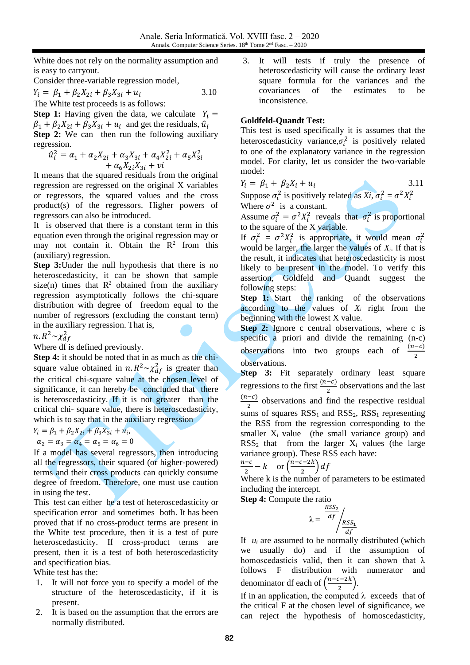White does not rely on the normality assumption and is easy to carryout.

Consider three-variable regression model,

$$
Y_i = \beta_1 + \beta_2 X_{2i} + \beta_3 X_{3i} + u_i \tag{3.10}
$$

The White test proceeds is as follows:

**Step 1:** Having given the data, we calculate  $Y_i =$  $\beta_1 + \beta_2 X_{2i} + \beta_3 X_{3i} + u_i$  and get the residuals,  $\hat{u}_i$ **Step 2:** We can then run the following auxiliary regression.

$$
\hat{u}_i^2 = \alpha_1 + \alpha_2 X_{2i} + \alpha_3 X_{3i} + \alpha_4 X_{2i}^2 + \alpha_5 X_{3i}^2 + \alpha_6 X_{2i} X_{3i} + vi
$$

It means that the squared residuals from the original regression are regressed on the original X variables or regressors, the squared values and the cross product(s) of the regressors. Higher powers of regressors can also be introduced.

It is observed that there is a constant term in this equation even through the original regression may or may not contain it. Obtain the  $\mathbb{R}^2$  from this (auxiliary) regression.

**Step 3:**Under the null hypothesis that there is no heteroscedasticity, it can be shown that sample size(n) times that  $R^2$  obtained from the auxiliary regression asymptotically follows the chi-square distribution with degree of freedom equal to the number of regressors (excluding the constant term) in the auxiliary regression. That is,

n. R $^2 \sim \chi^2_{df}$ 

Where df is defined previously.

**Step 4:** it should be noted that in as much as the chisquare value obtained in  $n \cdot R^2 \sim \chi_{df}^2$  is greater than the critical chi-square value at the chosen level of significance, it can hereby be concluded that there is heteroscedasticity. If it is not greater than the critical chi- square value, there is heteroscedasticity, which is to say that in the auxiliary regression

$$
Y_i = \beta_1 + \beta_2 X_{2i} + \beta_3 X_{3i} + u_i,
$$

$$
\alpha_2=\alpha_3=\alpha_4=\alpha_5=\alpha_6=0
$$

If a model has several regressors, then introducing all the regressors, their squared (or higher-powered) terms and their cross products can quickly consume degree of freedom. Therefore, one must use caution in using the test.

This test can either be a test of heteroscedasticity or specification error and sometimes both. It has been proved that if no cross-product terms are present in the White test procedure, then it is a test of pure heteroscedasticity. If cross-product terms are present, then it is a test of both heteroscedasticity and specification bias.

White test has the:

- 1. It will not force you to specify a model of the structure of the heteroscedasticity, if it is present.
- 2. It is based on the assumption that the errors are normally distributed.

3. It will tests if truly the presence of heteroscedasticity will cause the ordinary least square formula for the variances and the covariances of the estimates to be inconsistence.

## **Goldfeld-Quandt Test:**

This test is used specifically it is assumes that the heteroscedasticity variance,  $\sigma_i^2$  is positively related to one of the explanatory variance in the regression model. For clarity, let us consider the two-variable model:

$$
Y_i = \beta_1 + \beta_2 X_i + u_i \tag{3.11}
$$

Suppose  $\sigma_i^2$  is positively related as *Xi*,  $\sigma_i^2 = \sigma^2 X_i^2$ Where  $\sigma^2$  is a constant.

Assume  $\sigma_i^2 = \sigma^2 X_i^2$  reveals that  $\sigma_i^2$  is proportional to the square of the X variable.

If  $\sigma_i^2 = \sigma^2 X_i^2$  is appropriate, it would mean  $\sigma_i^2$ would be larger, the larger the values of  $X_i$ . If that is the result, it indicates that heteroscedasticity is most likely to be present in the model. To verify this assertion, Goldfeld and Quandt suggest the following steps:

**Step 1:** Start the ranking of the observations according to the values of *X<sup>i</sup>* right from the beginning with the lowest X value.

**Step 2:** Ignore c central observations, where c is specific a priori and divide the remaining (n-c) observations into two groups each of  $\frac{(n-c)}{2}$ observations.

**Step 3:** Fit separately ordinary least square regressions to the first  $\frac{(n-c)}{2}$  observations and the last  $(n-c)$  $\frac{2}{2}$  observations and find the respective residual sums of squares  $RSS<sub>1</sub>$  and  $RSS<sub>2</sub>$ ,  $RSS<sub>1</sub>$  representing the RSS from the regression corresponding to the smaller  $X_i$  value (the small variance group) and  $RSS<sub>2</sub>$  that from the larger  $X<sub>i</sub>$  values (the large variance group). These RSS each have:

$$
\frac{n-c}{2} - k \quad \text{or } \left(\frac{n-c-2k}{2}\right) df
$$

Where k is the number of parameters to be estimated including the intercept.

**Step 4:** Compute the ratio

$$
\lambda = \frac{RSS_2}{df} / \frac{RSS_1}{df}
$$

If  $u_i$  are assumed to be normally distributed (which we usually do) and if the assumption of homoscedasticis valid, then it can shown that  $\lambda$ follows F distribution with numerator and denominator df each of  $\left(\frac{n-c-2k}{2}\right)$  $\frac{z-z\kappa}{2}$ ).

If in an application, the computed  $\lambda$  exceeds that of the critical F at the chosen level of significance, we can reject the hypothesis of homoscedasticity,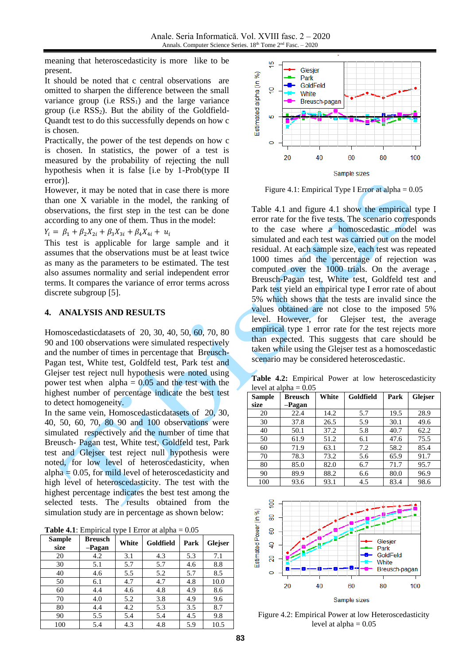meaning that heteroscedasticity is more like to be present.

It should be noted that c central observations are omitted to sharpen the difference between the small variance group (i.e  $RSS<sub>1</sub>$ ) and the large variance group (i.e  $RSS<sub>2</sub>$ ). But the ability of the Goldfield-Quandt test to do this successfully depends on how c is chosen.

Practically, the power of the test depends on how c is chosen. In statistics, the power of a test is measured by the probability of rejecting the null hypothesis when it is false [i.e by 1-Prob(type II error)].

However, it may be noted that in case there is more than one X variable in the model, the ranking of observations, the first step in the test can be done according to any one of them. Thus in the model:

$$
Y_i = \beta_1 + \beta_2 X_{2i} + \beta_3 X_{3i} + \beta_4 X_{4i} + u_i
$$

This test is applicable for large sample and it assumes that the observations must be at least twice as many as the parameters to be estimated. The test also assumes normality and serial independent error terms. It compares the variance of error terms across discrete subgroup [\[5\].](#page-7-6)

#### **4. ANALYSIS AND RESULTS**

Homoscedasticdatasets of 20, 30, 40, 50, 60, 70, 80 90 and 100 observations were simulated respectively and the number of times in percentage that Breusch-Pagan test, White test, Goldfeld test, Park test and Glejser test reject null hypothesis were noted using power test when  $alpha = 0.05$  and the test with the highest number of percentage indicate the best test to detect homogeneity.

In the same vein, Homoscedasticdatasets of 20, 30, 40, 50, 60, 70, 80 90 and 100 observations were simulated respectively and the number of time that Breusch- Pagan test, White test, Goldfeld test, Park test and Glejser test reject null hypothesis were noted, for low level of heteroscedasticity, when alpha  $= 0.05$ , for mild level of heteroscedasticity and high level of heteroscedasticity. The test with the highest percentage indicates the best test among the selected tests. The results obtained from the simulation study are in percentage as shown below:

| <b>Table 4.1:</b> Empirical type I Error at alpha $= 0.05$ |
|------------------------------------------------------------|
|------------------------------------------------------------|

| <b>Sample</b><br>size | <b>Breusch</b><br>-Pagan | White | Goldfield | Park | Glejser |
|-----------------------|--------------------------|-------|-----------|------|---------|
| 20                    | 4.2                      | 3.1   | 4.3       | 5.3  | 7.1     |
| 30                    | 5.1                      | 5.7   | 5.7       | 4.6  | 8.8     |
| 40                    | 4.6                      | 5.5   | 5.2       | 5.7  | 8.5     |
| 50                    | 6.1                      | 4.7   | 4.7       | 4.8  | 10.0    |
| 60                    | 4.4                      | 4.6   | 4.8       | 4.9  | 8.6     |
| 70                    | 4.0                      | 5.2   | 3.8       | 4.9  | 9.6     |
| 80                    | 4.4                      | 4.2   | 5.3       | 3.5  | 8.7     |
| 90                    | 5.5                      | 5.4   | 5.4       | 4.5  | 9.8     |
| 100                   | 5.4                      | 4.3   | 4.8       | 5.9  | 10.5    |



Figure 4.1: Empirical Type I Error at  $alpha = 0.05$ 

Table 4.1 and figure 4.1 show the empirical type I error rate for the five tests. The scenario corresponds to the case where a homoscedastic model was simulated and each test was carried out on the model residual. At each sample size, each test was repeated 1000 times and the percentage of rejection was computed over the 1000 trials. On the average , Breusch-Pagan test, White test, Goldfeld test and Park test yield an empirical type I error rate of about 5% which shows that the tests are invalid since the values obtained are not close to the imposed 5% level. However, for Glejser test, the average empirical type 1 error rate for the test rejects more than expected. This suggests that care should be taken while using the Glejser test as a homoscedastic scenario may be considered heteroscedastic.

**Table 4.2:** Empirical Power at low heteroscedasticity level at alpha  $= 0.05$ 

| Sample<br>size | <b>Breusch</b><br>-Pagan | White | Goldfield | Park | <b>Glejser</b> |
|----------------|--------------------------|-------|-----------|------|----------------|
| 20             | 22.4                     | 14.2  | 5.7       | 19.5 | 28.9           |
| 30             | 37.8                     | 26.5  | 5.9       | 30.1 | 49.6           |
| 40             | 50.1                     | 37.2  | 5.8       | 40.7 | 62.2           |
| 50             | 61.9                     | 51.2  | 6.1       | 47.6 | 75.5           |
| 60             | 71.9                     | 63.1  | 7.2       | 58.2 | 85.4           |
| 70             | 78.3                     | 73.2  | 5.6       | 65.9 | 91.7           |
| 80             | 85.0                     | 82.0  | 6.7       | 71.7 | 95.7           |
| 90             | 89.9                     | 88.2  | 6.6       | 80.0 | 96.9           |
| 100            | 93.6                     | 93.1  | 4.5       | 83.4 | 98.6           |



Figure 4.2: Empirical Power at low Heteroscedasticity level at alpha  $= 0.05$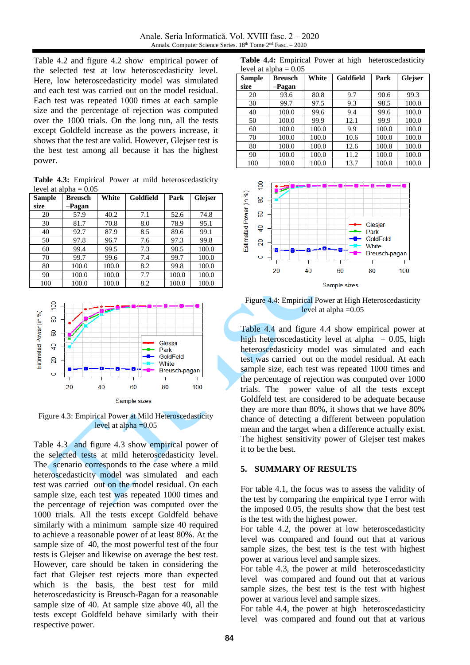Table 4.2 and figure 4.2 show empirical power of the selected test at low heteroscedasticity level. Here, low heteroscedasticity model was simulated and each test was carried out on the model residual. Each test was repeated 1000 times at each sample size and the percentage of rejection was computed over the 1000 trials. On the long run, all the tests except Goldfeld increase as the powers increase, it shows that the test are valid. However, Glejser test is the best test among all because it has the highest power.

**Table 4.3:** Empirical Power at mild heteroscedasticity level at alpha  $= 0.05$ 

| <b>Sample</b> | <b>Breusch</b> | White | Goldfield | Park  | <b>Glejser</b> |
|---------------|----------------|-------|-----------|-------|----------------|
| size          | -Pagan         |       |           |       |                |
| 20            | 57.9           | 40.2  | 7.1       | 52.6  | 74.8           |
| 30            | 81.7           | 70.8  | 8.0       | 78.9  | 95.1           |
| 40            | 92.7           | 87.9  | 8.5       | 89.6  | 99.1           |
| 50            | 97.8           | 96.7  | 7.6       | 97.3  | 99.8           |
| 60            | 99.4           | 99.5  | 7.3       | 98.5  | 100.0          |
| 70            | 99.7           | 99.6  | 7.4       | 99.7  | 100.0          |
| 80            | 100.0          | 100.0 | 8.2       | 99.8  | 100.0          |
| 90            | 100.0          | 100.0 | 7.7       | 100.0 | 100.0          |
| 100           | 100.0          | 100.0 | 8.2       | 100.0 | 100.0          |



Sample sizes

Figure 4.3: Empirical Power at Mild Heteroscedasticity level at alpha  $=0.05$ 

Table 4.3 and figure 4.3 show empirical power of the selected tests at mild heteroscedasticity level. The scenario corresponds to the case where a mild heteroscedasticity model was simulated and each test was carried out on the model residual. On each sample size, each test was repeated 1000 times and the percentage of rejection was computed over the 1000 trials. All the tests except Goldfeld behave similarly with a minimum sample size 40 required to achieve a reasonable power of at least 80%. At the sample size of 40, the most powerful test of the four tests is Glejser and likewise on average the best test. However, care should be taken in considering the fact that Glejser test rejects more than expected which is the basis, the best test for mild heteroscedasticity is Breusch-Pagan for a reasonable sample size of 40. At sample size above 40, all the tests except Goldfeld behave similarly with their respective power.

**Table 4.4:** Empirical Power at high heteroscedasticity level at alpha  $= 0.05$ 

| <b>Sample</b> | <b>Breusch</b> | White | Goldfield | Park  | Glejser |
|---------------|----------------|-------|-----------|-------|---------|
| size          | -Pagan         |       |           |       |         |
| 20            | 93.6           | 80.8  | 9.7       | 90.6  | 99.3    |
| 30            | 99.7           | 97.5  | 9.3       | 98.5  | 100.0   |
| 40            | 100.0          | 99.6  | 9.4       | 99.6  | 100.0   |
| 50            | 100.0          | 99.9  | 12.1      | 99.9  | 100.0   |
| 60            | 100.0          | 100.0 | 9.9       | 100.0 | 100.0   |
| 70            | 100.0          | 100.0 | 10.6      | 100.0 | 100.0   |
| 80            | 100.0          | 100.0 | 12.6      | 100.0 | 100.0   |
| 90            | 100.0          | 100.0 | 11.2      | 100.0 | 100.0   |
| 100           | 100.0          | 100.0 | 13.7      | 100.0 | 100.0   |



Figure 4.4: Empirical Power at High Heteroscedasticity level at alpha  $=0.05$ 

Table 4.4 and figure 4.4 show empirical power at high heteroscedasticity level at alpha  $= 0.05$ , high heteroscedasticity model was simulated and each test was carried out on the model residual. At each sample size, each test was repeated 1000 times and the percentage of rejection was computed over 1000 trials. The power value of all the tests except Goldfeld test are considered to be adequate because they are more than 80%, it shows that we have 80% chance of detecting a different between population mean and the target when a difference actually exist. The highest sensitivity power of Glejser test makes it to be the best.

#### **5. SUMMARY OF RESULTS**

For table 4.1, the focus was to assess the validity of the test by comparing the empirical type I error with the imposed 0.05, the results show that the best test is the test with the highest power.

For table 4.2, the power at low heteroscedasticity level was compared and found out that at various sample sizes, the best test is the test with highest power at various level and sample sizes.

For table 4.3, the power at mild heteroscedasticity level was compared and found out that at various sample sizes, the best test is the test with highest power at various level and sample sizes.

For table 4.4, the power at high heteroscedasticity level was compared and found out that at various